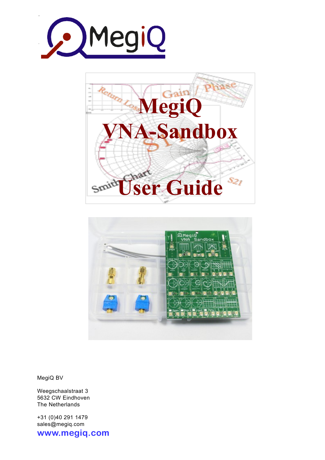





MegiQ BV

Weegschaalstraat 3 5632 CW Eindhoven The Netherlands

+31 (0)40 291 1479 sales@megiq.com

© 2013 - 2017, MegiQ **www.megiq.com www.megiq.com**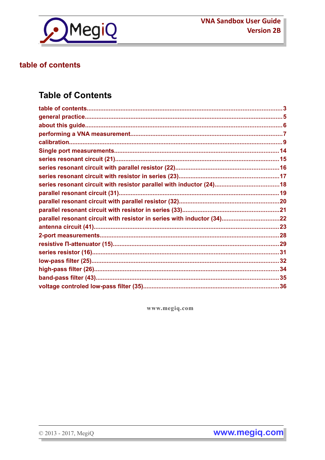

# table of contents

# **Table of Contents**

www.megiq.com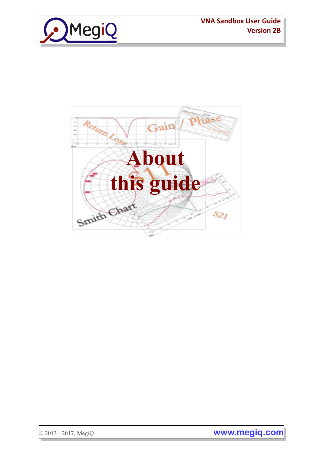



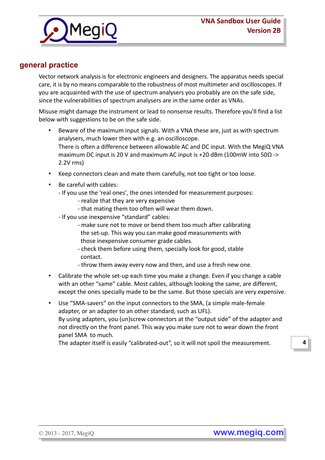



# **general practice**

Vector network analysis is for electronic engineers and designers. The apparatus needs special care, it is by no means comparable to the robustness of most multimeter and oscilloscopes. If you are acquainted with the use of spectrum analysers you probably are on the safe side, since the vulnerabilities of spectrum analysers are in the same order as VNAs.

Misuse might damage the instrument or lead to nonsense results. Therefore you'll find a list below with suggestions to be on the safe side.

- Beware of the maximum input signals. With a VNA these are, just as with spectrum analysers, much lower then with e.g. an oscilloscope. There is often a difference between allowable AC and DC input. With the MegiQ VNA maximum DC input is 20 V and maximum AC input is +20 dBm (100mW into 50Ω -> 2.2V rms)
- Keep connectors clean and mate them carefully, not too tight or too loose.
- Be careful with cables:
	- If you use the 'real ones', the ones intended for measurement purposes:
		- realize that they are very expensive
		- that mating them too often will wear them down.
	- If you use inexpensive "standard" cables:
		- make sure not to move or bend them too much after calibrating the set-up. This way you can make good measurements with those inexpensive consumer grade cables.
		- check them before using them, specially look for good, stable contact.
		- throw them away every now and then, and use a fresh new one.
- Calibrate the whole set-up each time you make a change. Even if you change a cable with an other "same" cable. Most cables, although looking the same, are different, except the ones specially made to be the same. But those specials are very expensive.
- Use "SMA-savers" on the input connectors to the SMA, (a simple male-female adapter, or an adapter to an other standard, such as UFL). By using adapters, you (un)screw connectors at the "output side" of the adapter and not directly on the front panel. This way you make sure not to wear down the front panel SMA to much.

The adapter itself is easily "calibrated-out", so it will not spoil the measurement.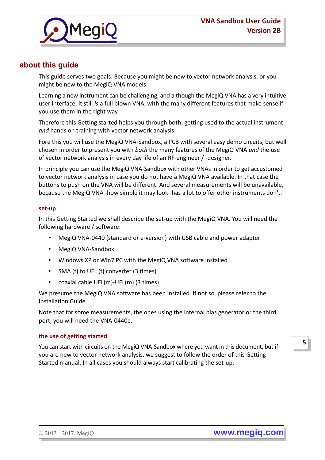

# **about this guide**

This guide serves two goals. Because you might be new to vector network analysis, or you might be new to the MegiQ VNA models.

Learning a new instrument can be challenging, and although the MegiQ VNA has a very intuitive user interface, it still *is* a full blown VNA, with the many different features that make sense if you use them in the right way.

Therefore this Getting started helps you through both: getting used to the actual instrument *and* hands on training with vector network analysis.

Fore this you will use the MegiQ VNA-Sandbox, a PCB with several easy demo circuits, but well chosen in order to present you with *both* the many features of the MegiQ VNA *and* the use of vector network analysis in every day life of an RF-engineer / -designer.

In principle you can use the MegiQ VNA-Sandbox with other VNAs in order to get accustomed to vector network analysis in case you do not have a MegiQ VNA available. In that case the buttons to push on the VNA will be different. And several measurements will be unavailable, because the MegiQ VNA -how simple it may look- has a lot to offer other instruments don't.

### **set-up**

In this Getting Started we shall describe the set-up with the MegiQ VNA. You will need the following hardware / software:

- MegiQ VNA-0440 (standard or e-version) with USB cable and power adapter
- MegiQ VNA-Sandbox
- Windows XP or Win7 PC with the MegiQ VNA software installed
- SMA (f) to UFL (f) converter (3 times)
- coaxial cable UFL(m)-UFL(m) (3 times)

We presume the MegiQ VNA software has been installed. If not so, please refer to the Installation Guide.

Note that for some measurements, the ones using the internal bias generator or the third port, you will need the VNA-0440e.

### **the use of getting started**

You can start with circuits on the MegiQ VNA-Sandbox where you want in this document, but if you are new to vector network analysis, we suggest to follow the order of this Getting Started manual. In all cases you should always start calibrating the set-up.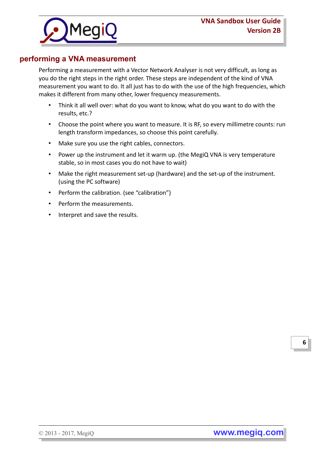

# **performing a VNA measurement**

Performing a measurement with a Vector Network Analyser is not very difficult, as long as you do the right steps in the right order. These steps are independent of the kind of VNA measurement you want to do. It all just has to do with the use of the high frequencies, which makes it different from many other, lower frequency measurements.

- Think it all well over: what do you want to know, what do you want to do with the results, etc.?
- Choose the point where you want to measure. It is RF, so every millimetre counts: run length transform impedances, so choose this point carefully.
- Make sure you use the right cables, connectors.
- Power up the instrument and let it warm up. (the MegiQ VNA is very temperature stable, so in most cases you do not have to wait)
- Make the right measurement set-up (hardware) and the set-up of the instrument. (using the PC software)
- Perform the calibration. (see "calibration")
- Perform the measurements.
- Interpret and save the results.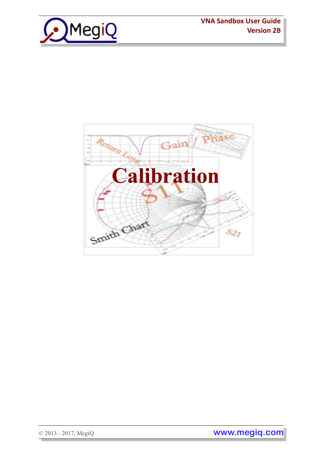

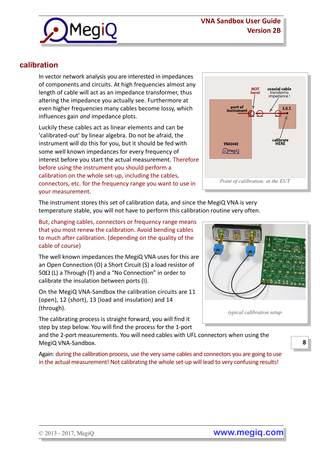

# **calibration**

In vector network analysis you are interested in impedances of components and circuits. At high frequencies almost any length of cable will act as an impedance transformer, thus altering the impedance you actually see. Furthermore at even higher frequencies many cables become lossy, which influences gain *and* impedance plots.

Luckily these cables act as linear elements and can be 'calibrated-out' by linear algebra. Do not be afraid, the instrument will do this for you, but it should be fed with some well known impedances for every frequency of interest before you start the actual measurement. Therefore before using the instrument you should perform a calibration on the whole set-up, including the cables, connectors, etc. for the frequency range you want to use in your measurement.



The instrument stores this set of calibration data, and since the MegiQ VNA is very temperature stable, you will not have to perform this calibration routine very often.

But, changing cables, connectors or frequency range means that you most renew the calibration. Avoid bending cables to much after calibration. (depending on the quality of the cable of course)

The well known impedances the MegiQ VNA uses for this are an Open Connection (O) a Short Circuit (S) a load resistor of 50 $\Omega$  (L) a Through (T) and a "No Connection" in order to calibrate the insulation between ports (I).

On the MegiQ VNA-Sandbox the calibration circuits are 11 (open), 12 (short), 13 (load and insulation) and 14 (through).

The calibrating process is straight forward, you will find it step by step below. You will find the process for the 1-port

and the 2-port measurements. You will need cables with UFL connectors when using the MegiQ VNA-Sandbox.

Again: during the calibration process, use the very same cables and connectors you are going to use in the actual measurement! Not calibrating the whole set-up will lead to very confusing results!

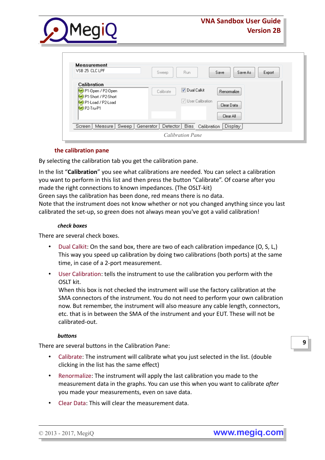

| <b>Measurement</b><br>VSB 25: CLC LPF                                        | Save As<br>Export<br>Save<br>Run.<br>Sweep                                        |
|------------------------------------------------------------------------------|-----------------------------------------------------------------------------------|
| Calibration<br>P1-Open / P2-Open<br>P1-Short / P2-Short<br>P1-Load / P2-Load | Dual Calkit<br>Calibrate<br>Renormalize<br>User Calibration                       |
| $\bigcirc$ P2-Tru-P1                                                         | Clear Data<br>Clear All                                                           |
| Measure<br>Sweep  <br>Screen                                                 | <b>Display</b><br>Bias Calibration<br>Generator<br>Detector  <br>Calibration Pane |

### **the calibration pane**

By selecting the calibration tab you get the calibration pane.

In the list "**Calibration**" you see what calibrations are needed. You can select a calibration you want to perform in this list and then press the button "Calibrate". Of coarse after you made the right connections to known impedances. (The OSLT-kit)

Green says the calibration has been done, red means there is no data.

Note that the instrument does not know whether or not you changed anything since you last calibrated the set-up, so green does not always mean you've got a valid calibration!

#### *check boxes*

There are several check boxes.

- Dual Calkit: On the sand box, there are two of each calibration impedance (O, S, L,) This way you speed up calibration by doing two calibrations (both ports) at the same time, in case of a 2-port measurement.
- User Calibration: tells the instrument to use the calibration you perform with the OSLT kit.

When this box is not checked the instrument will use the factory calibration at the SMA connectors of the instrument. You do not need to perform your own calibration now. But remember, the instrument will also measure any cable length, connectors, etc. that is in between the SMA of the instrument and your EUT. These will not be calibrated-out.

### *buttons*

There are several buttons in the Calibration Pane:

- Calibrate: The instrument will calibrate what you just selected in the list. (double clicking in the list has the same effect)
- Renormalize: The instrument will apply the last calibration you made to the measurement data in the graphs. You can use this when you want to calibrate *after*  you made your measurements, even on save data.
- Clear Data: This will clear the measurement data.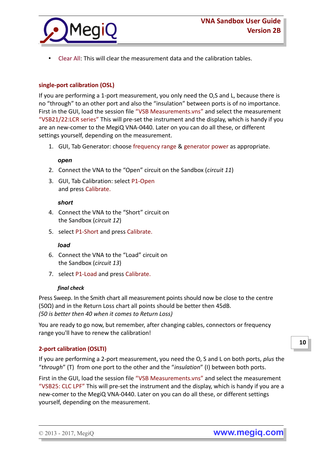

• Clear All: This will clear the measurement data and the calibration tables.

### **single-port calibration (OSL)**

If you are performing a 1-port measurement, you only need the O,S and L, because there is no "through" to an other port and also the "insulation" between ports is of no importance. First in the GUI, load the session file "VSB Measurements.vns" and select the measurement "VSB21/22:LCR series" This will pre-set the instrument and the display, which is handy if you are an new-comer to the MegiQ VNA-0440. Later on you can do all these, or different settings yourself, depending on the measurement.

1. GUI, Tab Generator: choose frequency range & generator power as appropriate.

### *open*

- 2. Connect the VNA to the "Open" circuit on the Sandbox (*circuit 11*)
- 3. GUI, Tab Calibration: select P1-Open and press Calibrate.

#### *short*

- 4. Connect the VNA to the "Short" circuit on the Sandbox (*circuit 12*)
- 5. select P1-Short and press Calibrate.

#### *load*

- 6. Connect the VNA to the "Load" circuit on the Sandbox (*circuit 13*)
- 7. select P1-Load and press Calibrate.

#### *final check*

Press Sweep. In the Smith chart all measurement points should now be close to the centre (50Ω) and in the Return Loss chart all points should be better then 45dB. *(50 is better then 40 when it comes to Return Loss)*

You are ready to go now, but remember, after changing cables, connectors or frequency range you'll have to renew the calibration!

### **2-port calibration (OSLTI)**

If you are performing a 2-port measurement, you need the O, S and L on both ports, *plus* the "*through*" (T) from one port to the other and the "*insulation*" (I) between both ports.

First in the GUI, load the session file "VSB Measurements.vns" and select the measurement "VSB25: CLC LPF" This will pre-set the instrument and the display, which is handy if you are a new-comer to the MegiQ VNA-0440. Later on you can do all these, or different settings yourself, depending on the measurement.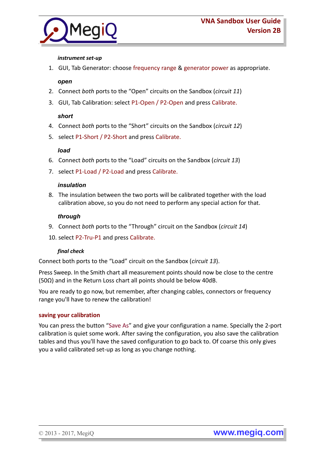

### *instrument set-up*

1. GUI, Tab Generator: choose frequency range & generator power as appropriate.

### *open*

- 2. Connect *both* ports to the "Open" circuits on the Sandbox (*circuit 11*)
- 3. GUI, Tab Calibration: select P1-Open / P2-Open and press Calibrate.

### *short*

- 4. Connect *both* ports to the "Short" circuits on the Sandbox (*circuit 12*)
- 5. select P1-Short / P2-Short and press Calibrate.

### *load*

- 6. Connect *both* ports to the "Load" circuits on the Sandbox (*circuit 13*)
- 7. select P1-Load / P2-Load and press Calibrate.

### *insulation*

8. The insulation between the two ports will be calibrated together with the load calibration above, so you do not need to perform any special action for that.

### *through*

- 9. Connect *both* ports to the "Through" circuit on the Sandbox (*circuit 14*)
- 10. select P2-Tru-P1 and press Calibrate.

### *final check*

Connect both ports to the "Load" circuit on the Sandbox (*circuit 13*).

Press Sweep. In the Smith chart all measurement points should now be close to the centre (50Ω) and in the Return Loss chart all points should be below 40dB.

You are ready to go now, but remember, after changing cables, connectors or frequency range you'll have to renew the calibration!

### **saving your calibration**

You can press the button "Save As" and give your configuration a name. Specially the 2-port calibration is quiet some work. After saving the configuration, you also save the calibration tables and thus you'll have the saved configuration to go back to. Of coarse this only gives you a valid calibrated set-up as long as you change nothing.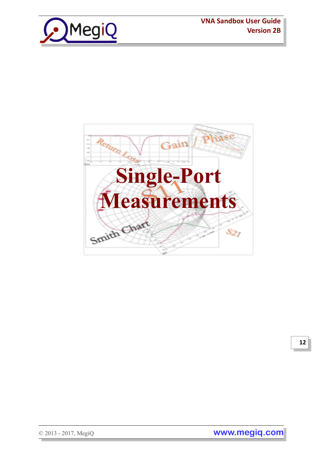





**12**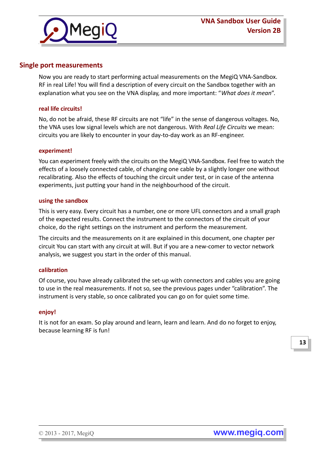

## **Single port measurements**

Now you are ready to start performing actual measurements on the MegiQ VNA-Sandbox. RF in real Life! You will find a description of every circuit on the Sandbox together with an explanation what you see on the VNA display, and more important: "*What does it mean*".

#### **real life circuits!**

No, do not be afraid, these RF circuits are not "life" in the sense of dangerous voltages. No, the VNA uses low signal levels which are not dangerous. With *Real Life Circuits* we mean: circuits you are likely to encounter in your day-to-day work as an RF-engineer.

#### **experiment!**

You can experiment freely with the circuits on the MegiQ VNA-Sandbox. Feel free to watch the effects of a loosely connected cable, of changing one cable by a slightly longer one without recalibrating. Also the effects of touching the circuit under test, or in case of the antenna experiments, just putting your hand in the neighbourhood of the circuit.

#### **using the sandbox**

This is very easy. Every circuit has a number, one or more UFL connectors and a small graph of the expected results. Connect the instrument to the connectors of the circuit of your choice, do the right settings on the instrument and perform the measurement.

The circuits and the measurements on it are explained in this document, one chapter per circuit You can start with any circuit at will. But if you are a new-comer to vector network analysis, we suggest you start in the order of this manual.

#### **calibration**

Of course, you have already calibrated the set-up with connectors and cables you are going to use in the real measurements. If not so, see the previous pages under "calibration". The instrument is very stable, so once calibrated you can go on for quiet some time.

#### **enjoy!**

It is not for an exam. So play around and learn, learn and learn. And do no forget to enjoy, because learning RF is fun!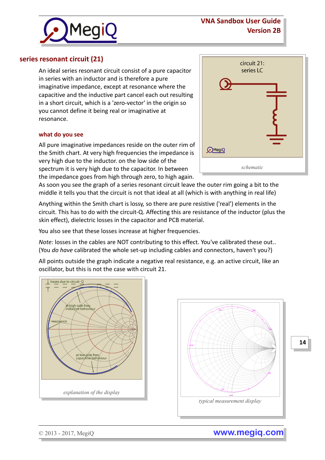# **VNA Sandbox User Guide Version 2B**



## **series resonant circuit (21)**

An ideal series resonant circuit consist of a pure capacitor in series with an inductor and is therefore a pure imaginative impedance, except at resonance where the capacitive and the inductive part cancel each out resulting in a short circuit, which is a 'zero-vector' in the origin so you cannot define it being real or imaginative at resonance.

#### **what do you see**

All pure imaginative impedances reside on the outer rim of the Smith chart. At very high frequencies the impedance is very high due to the inductor. on the low side of the spectrum it is very high due to the capacitor. In between the impedance goes from high through zero, to high again.

| D <del>)</del> | circuit 21:<br>series LC |
|----------------|--------------------------|
|                |                          |
|                |                          |
| <b>MegiQ</b>   |                          |
|                | schematic                |

As soon you see the graph of a series resonant circuit leave the outer rim going a bit to the middle it tells you that the circuit is not that ideal at all (which is with anything in real life)

Anything within the Smith chart is lossy, so there are pure resistive ('real') elements in the circuit. This has to do with the circuit-Q. Affecting this are resistance of the inductor (plus the skin effect), dielectric losses in the capacitor and PCB material.

You also see that these losses increase at higher frequencies.

*Note:* losses in the cables are NOT contributing to this effect. You've calibrated these out.. (You *do have* calibrated the whole set-up including cables and connectors, haven't you?)

All points outside the graph indicate a negative real resistance, e.g. an active circuit, like an oscillator, but this is not the case with circuit 21.





**14**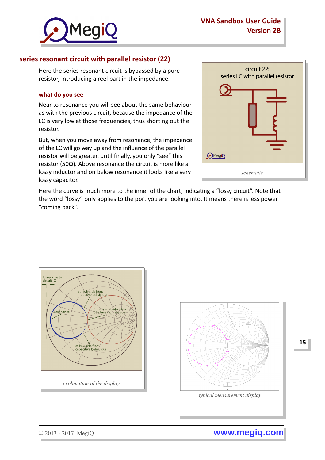

# **series resonant circuit with parallel resistor (22)**

Here the series resonant circuit is bypassed by a pure resistor, introducing a reel part in the impedance.

#### **what do you see**

Near to resonance you will see about the same behaviour as with the previous circuit, because the impedance of the LC is very low at those frequencies, thus shorting out the resistor.

But, when you move away from resonance, the impedance of the LC will go way up and the influence of the parallel resistor will be greater, until finally, you only "see" this resistor (50Ω). Above resonance the circuit is more like a lossy inductor and on below resonance it looks like a very lossy capacitor.

| <b>MegiQ</b> | circuit 22:<br>series LC with parallel resistor |
|--------------|-------------------------------------------------|
|              | schematic                                       |

Here the curve is much more to the inner of the chart, indicating a "lossy circuit". Note that the word "lossy" only applies to the port you are looking into. It means there is less power "coming back".





© 2013 - 2017, MegiQ **www.megiq.com**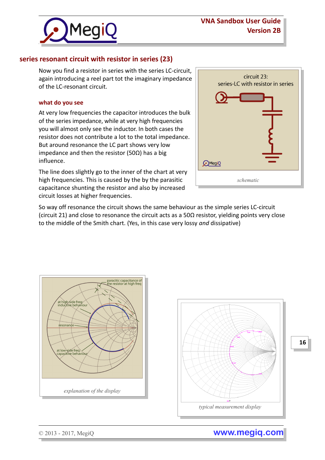



# **series resonant circuit with resistor in series (23)**

Now you find a resistor in series with the series LC-circuit, again introducing a reel part tot the imaginary impedance of the LC-resonant circuit.

#### **what do you see**

At very low frequencies the capacitor introduces the bulk of the series impedance, while at very high frequencies you will almost only see the inductor. In both cases the resistor does not contribute a lot to the total impedance. But around resonance the LC part shows very low impedance and then the resistor (50Ω) has a big influence.

The line does slightly go to the inner of the chart at very high frequencies. This is caused by the by the parasitic capacitance shunting the resistor and also by increased circuit losses at higher frequencies.

| circuit 23:<br>series-LC with resistor in series |
|--------------------------------------------------|
| $\binom{1}{2}$ MegiQ                             |
| schematic                                        |

So way off resonance the circuit shows the same behaviour as the simple series LC-circuit (circuit 21) and close to resonance the circuit acts as a 50 $\Omega$  resistor, yielding points very close to the middle of the Smith chart. (Yes, in this case very lossy *and* dissipative)





**16**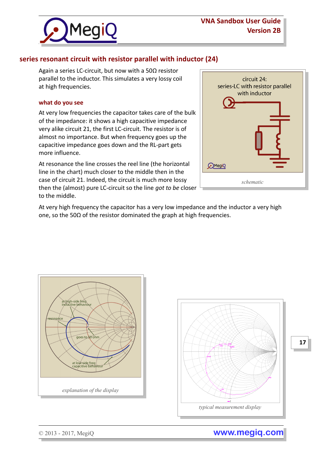

# **series resonant circuit with resistor parallel with inductor (24)**

Again a series LC-circuit, but now with a 50Ω resistor parallel to the inductor. This simulates a very lossy coil at high frequencies.

#### **what do you see**

At very low frequencies the capacitor takes care of the bulk of the impedance: it shows a high capacitive impedance very alike circuit 21, the first LC-circuit. The resistor is of almost no importance. But when frequency goes up the capacitive impedance goes down and the RL-part gets more influence.

At resonance the line crosses the reel line (the horizontal line in the chart) much closer to the middle then in the case of circuit 21. Indeed, the circuit is much more lossy then the (almost) pure LC-circuit so the line *got to be* closer to the middle.



At very high frequency the capacitor has a very low impedance and the inductor a very high one, so the 50Ω of the resistor dominated the graph at high frequencies.